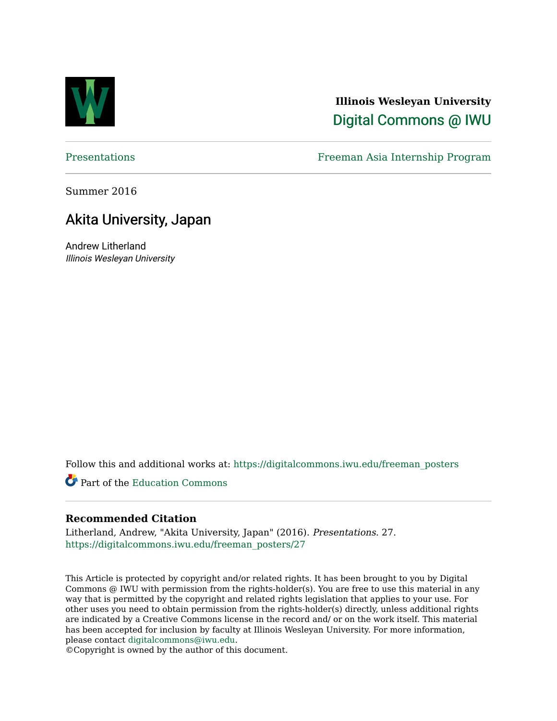

#### **Illinois Wesleyan University**  [Digital Commons @ IWU](https://digitalcommons.iwu.edu/)

[Presentations](https://digitalcommons.iwu.edu/freeman_posters) Freeman Asia Internship Program

Summer 2016

#### Akita University, Japan

Andrew Litherland Illinois Wesleyan University

Follow this and additional works at: [https://digitalcommons.iwu.edu/freeman\\_posters](https://digitalcommons.iwu.edu/freeman_posters?utm_source=digitalcommons.iwu.edu%2Ffreeman_posters%2F27&utm_medium=PDF&utm_campaign=PDFCoverPages) 

Part of the [Education Commons](http://network.bepress.com/hgg/discipline/784?utm_source=digitalcommons.iwu.edu%2Ffreeman_posters%2F27&utm_medium=PDF&utm_campaign=PDFCoverPages)

#### **Recommended Citation**

Litherland, Andrew, "Akita University, Japan" (2016). Presentations. 27. [https://digitalcommons.iwu.edu/freeman\\_posters/27](https://digitalcommons.iwu.edu/freeman_posters/27?utm_source=digitalcommons.iwu.edu%2Ffreeman_posters%2F27&utm_medium=PDF&utm_campaign=PDFCoverPages) 

This Article is protected by copyright and/or related rights. It has been brought to you by Digital Commons @ IWU with permission from the rights-holder(s). You are free to use this material in any way that is permitted by the copyright and related rights legislation that applies to your use. For other uses you need to obtain permission from the rights-holder(s) directly, unless additional rights are indicated by a Creative Commons license in the record and/ or on the work itself. This material has been accepted for inclusion by faculty at Illinois Wesleyan University. For more information, please contact [digitalcommons@iwu.edu.](mailto:digitalcommons@iwu.edu)

©Copyright is owned by the author of this document.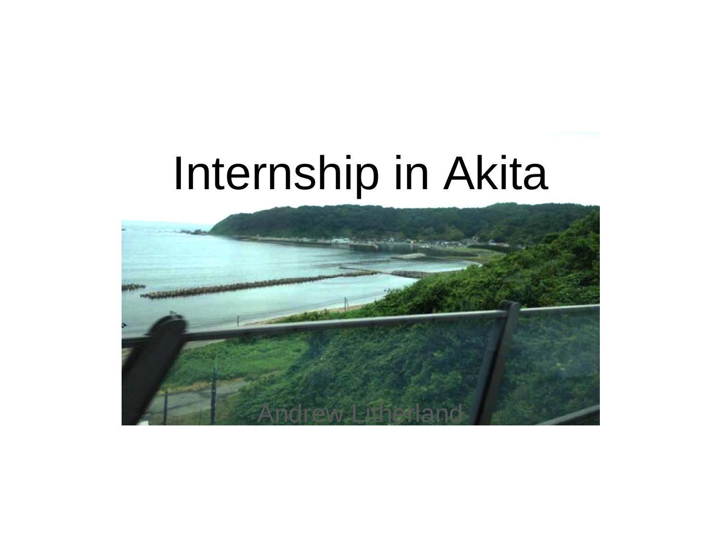# Internship in Akita

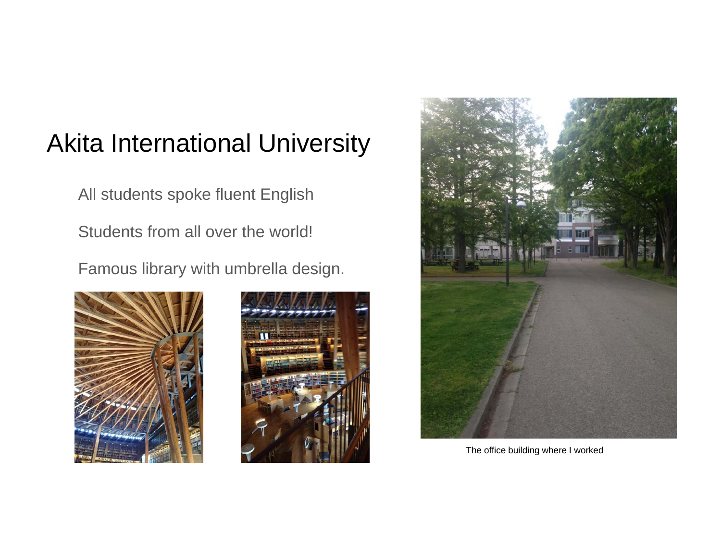### Akita International University

All students spoke fluent English

Students from all over the world!

Famous library with umbrella design.







The office building where I worked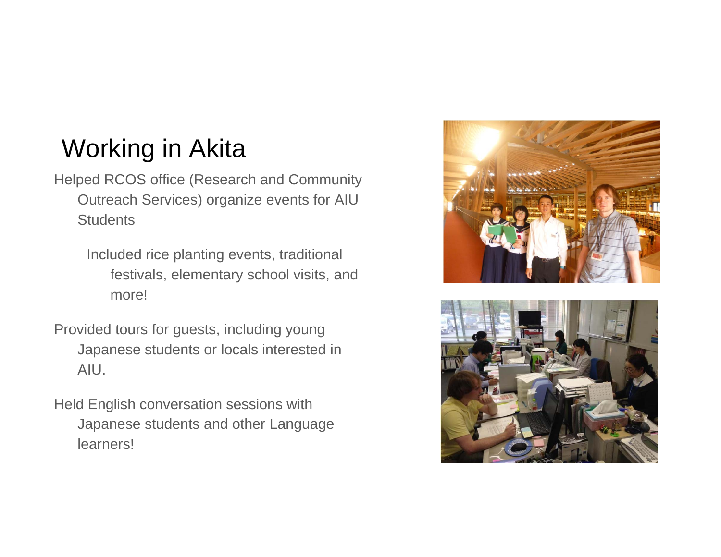## Working in Akita

Helped RCOS office (Research and Community Outreach Services) organize events for AIU **Students** 

> Included rice planting events, traditional festivals, elementary school visits, and more!

- Provided tours for guests, including young Japanese students or locals interested in AIU.
- Held English conversation sessions with Japanese students and other Language learners!



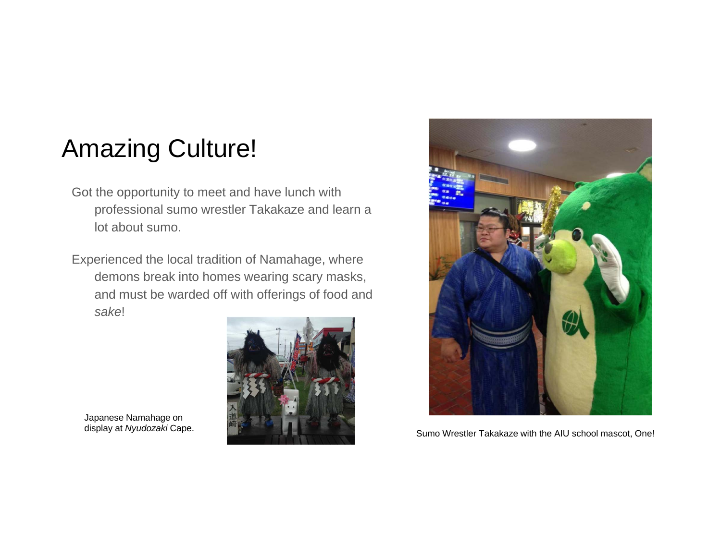#### Amazing Culture!

- Got the opportunity to meet and have lunch with professional sumo wrestler Takakaze and learn a lot about sumo.
- Experienced the local tradition of Namahage, where demons break into homes wearing scary masks, and must be warded off with offerings of food and *sake*!



Japanese Namahage on<br>display at Nyudozaki Cape.



Sumo Wrestler Takakaze with the AIU school mascot, One!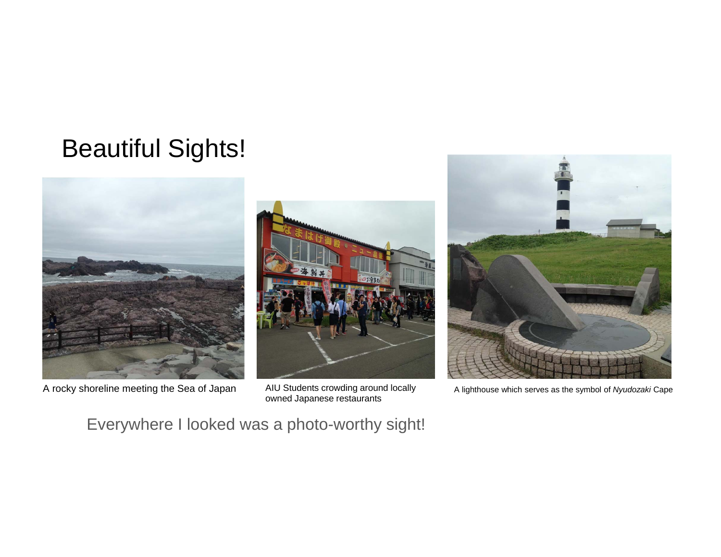## Beautiful Sights!



A rocky shoreline meeting the Sea of Japan AIU Students crowding around locally A lighthouse which serves as the symbol of *Nyudozaki* Cape



owned Japanese restaurants



Everywhere I looked was a photo-worthy sight!